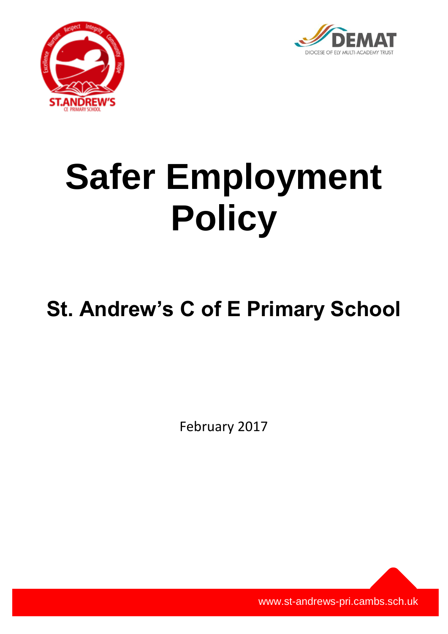



# **Safer Employment Policy**

# **St. Andrew's C of E Primary School**

February 2017

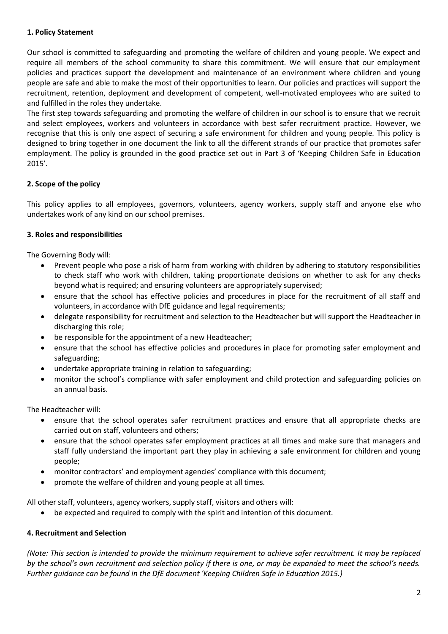# **1. Policy Statement**

Our school is committed to safeguarding and promoting the welfare of children and young people. We expect and require all members of the school community to share this commitment. We will ensure that our employment policies and practices support the development and maintenance of an environment where children and young people are safe and able to make the most of their opportunities to learn. Our policies and practices will support the recruitment, retention, deployment and development of competent, well-motivated employees who are suited to and fulfilled in the roles they undertake.

The first step towards safeguarding and promoting the welfare of children in our school is to ensure that we recruit and select employees, workers and volunteers in accordance with best safer recruitment practice. However, we recognise that this is only one aspect of securing a safe environment for children and young people. This policy is designed to bring together in one document the link to all the different strands of our practice that promotes safer employment. The policy is grounded in the good practice set out in Part 3 of 'Keeping Children Safe in Education 2015'.

# **2. Scope of the policy**

This policy applies to all employees, governors, volunteers, agency workers, supply staff and anyone else who undertakes work of any kind on our school premises.

# **3. Roles and responsibilities**

The Governing Body will:

- Prevent people who pose a risk of harm from working with children by adhering to statutory responsibilities to check staff who work with children, taking proportionate decisions on whether to ask for any checks beyond what is required; and ensuring volunteers are appropriately supervised;
- ensure that the school has effective policies and procedures in place for the recruitment of all staff and volunteers, in accordance with DfE guidance and legal requirements;
- delegate responsibility for recruitment and selection to the Headteacher but will support the Headteacher in discharging this role;
- be responsible for the appointment of a new Headteacher;
- ensure that the school has effective policies and procedures in place for promoting safer employment and safeguarding;
- undertake appropriate training in relation to safeguarding;
- monitor the school's compliance with safer employment and child protection and safeguarding policies on an annual basis.

The Headteacher will:

- ensure that the school operates safer recruitment practices and ensure that all appropriate checks are carried out on staff, volunteers and others;
- ensure that the school operates safer employment practices at all times and make sure that managers and staff fully understand the important part they play in achieving a safe environment for children and young people;
- monitor contractors' and employment agencies' compliance with this document;
- promote the welfare of children and young people at all times.

All other staff, volunteers, agency workers, supply staff, visitors and others will:

be expected and required to comply with the spirit and intention of this document.

#### **4. Recruitment and Selection**

*(Note: This section is intended to provide the minimum requirement to achieve safer recruitment. It may be replaced by the school's own recruitment and selection policy if there is one, or may be expanded to meet the school's needs. Further guidance can be found in the DfE document 'Keeping Children Safe in Education 2015.)*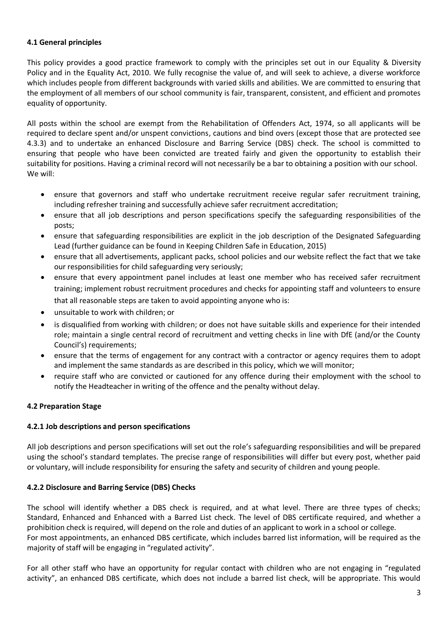# **4.1 General principles**

This policy provides a good practice framework to comply with the principles set out in our Equality & Diversity Policy and in the Equality Act, 2010. We fully recognise the value of, and will seek to achieve, a diverse workforce which includes people from different backgrounds with varied skills and abilities. We are committed to ensuring that the employment of all members of our school community is fair, transparent, consistent, and efficient and promotes equality of opportunity.

All posts within the school are exempt from the Rehabilitation of Offenders Act, 1974, so all applicants will be required to declare spent and/or unspent convictions, cautions and bind overs (except those that are protected see 4.3.3) and to undertake an enhanced Disclosure and Barring Service (DBS) check. The school is committed to ensuring that people who have been convicted are treated fairly and given the opportunity to establish their suitability for positions. Having a criminal record will not necessarily be a bar to obtaining a position with our school. We will:

- ensure that governors and staff who undertake recruitment receive regular safer recruitment training, including refresher training and successfully achieve safer recruitment accreditation;
- ensure that all job descriptions and person specifications specify the safeguarding responsibilities of the posts;
- ensure that safeguarding responsibilities are explicit in the job description of the Designated Safeguarding Lead (further guidance can be found in Keeping Children Safe in Education, 2015)
- ensure that all advertisements, applicant packs, school policies and our website reflect the fact that we take our responsibilities for child safeguarding very seriously;
- ensure that every appointment panel includes at least one member who has received safer recruitment training; implement robust recruitment procedures and checks for appointing staff and volunteers to ensure that all reasonable steps are taken to avoid appointing anyone who is:
- unsuitable to work with children; or
- is disqualified from working with children; or does not have suitable skills and experience for their intended role; maintain a single central record of recruitment and vetting checks in line with DfE (and/or the County Council's) requirements;
- ensure that the terms of engagement for any contract with a contractor or agency requires them to adopt and implement the same standards as are described in this policy, which we will monitor;
- require staff who are convicted or cautioned for any offence during their employment with the school to notify the Headteacher in writing of the offence and the penalty without delay.

# **4.2 Preparation Stage**

# **4.2.1 Job descriptions and person specifications**

All job descriptions and person specifications will set out the role's safeguarding responsibilities and will be prepared using the school's standard templates. The precise range of responsibilities will differ but every post, whether paid or voluntary, will include responsibility for ensuring the safety and security of children and young people.

# **4.2.2 Disclosure and Barring Service (DBS) Checks**

The school will identify whether a DBS check is required, and at what level. There are three types of checks; Standard, Enhanced and Enhanced with a Barred List check. The level of DBS certificate required, and whether a prohibition check is required, will depend on the role and duties of an applicant to work in a school or college. For most appointments, an enhanced DBS certificate, which includes barred list information, will be required as the majority of staff will be engaging in "regulated activity".

For all other staff who have an opportunity for regular contact with children who are not engaging in "regulated activity", an enhanced DBS certificate, which does not include a barred list check, will be appropriate. This would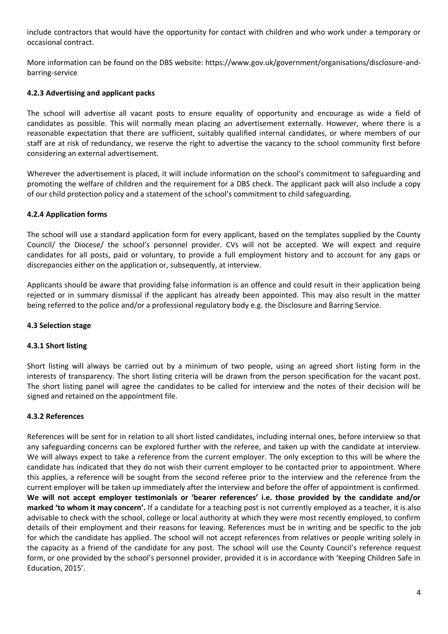include contractors that would have the opportunity for contact with children and who work under a temporary or occasional contract.

More information can be found on the DBS website: https://www.gov.uk/government/organisations/disclosure-andbarring-service

# **4.2.3 Advertising and applicant packs**

The school will advertise all vacant posts to ensure equality of opportunity and encourage as wide a field of candidates as possible. This will normally mean placing an advertisement externally. However, where there is a reasonable expectation that there are sufficient, suitably qualified internal candidates, or where members of our staff are at risk of redundancy, we reserve the right to advertise the vacancy to the school community first before considering an external advertisement.

Wherever the advertisement is placed, it will include information on the school's commitment to safeguarding and promoting the welfare of children and the requirement for a DBS check. The applicant pack will also include a copy of our child protection policy and a statement of the school's commitment to child safeguarding.

# **4.2.4 Application forms**

The school will use a standard application form for every applicant, based on the templates supplied by the County Council/ the Diocese/ the school's personnel provider. CVs will not be accepted. We will expect and require candidates for all posts, paid or voluntary, to provide a full employment history and to account for any gaps or discrepancies either on the application or, subsequently, at interview.

Applicants should be aware that providing false information is an offence and could result in their application being rejected or in summary dismissal if the applicant has already been appointed. This may also result in the matter being referred to the police and/or a professional regulatory body e.g. the Disclosure and Barring Service.

# **4.3 Selection stage**

# **4.3.1 Short listing**

Short listing will always be carried out by a minimum of two people, using an agreed short listing form in the interests of transparency. The short listing criteria will be drawn from the person specification for the vacant post. The short listing panel will agree the candidates to be called for interview and the notes of their decision will be signed and retained on the appointment file.

# **4.3.2 References**

References will be sent for in relation to all short listed candidates, including internal ones, before interview so that any safeguarding concerns can be explored further with the referee, and taken up with the candidate at interview. We will always expect to take a reference from the current employer. The only exception to this will be where the candidate has indicated that they do not wish their current employer to be contacted prior to appointment. Where this applies, a reference will be sought from the second referee prior to the interview and the reference from the current employer will be taken up immediately after the interview and before the offer of appointment is confirmed. **We will not accept employer testimonials or 'bearer references' i.e. those provided by the candidate and/or marked 'to whom it may concern'.** If a candidate for a teaching post is not currently employed as a teacher, it is also advisable to check with the school, college or local authority at which they were most recently employed, to confirm details of their employment and their reasons for leaving. References must be in writing and be specific to the job for which the candidate has applied. The school will not accept references from relatives or people writing solely in the capacity as a friend of the candidate for any post. The school will use the County Council's reference request form, or one provided by the school's personnel provider, provided it is in accordance with 'Keeping Children Safe in Education, 2015'.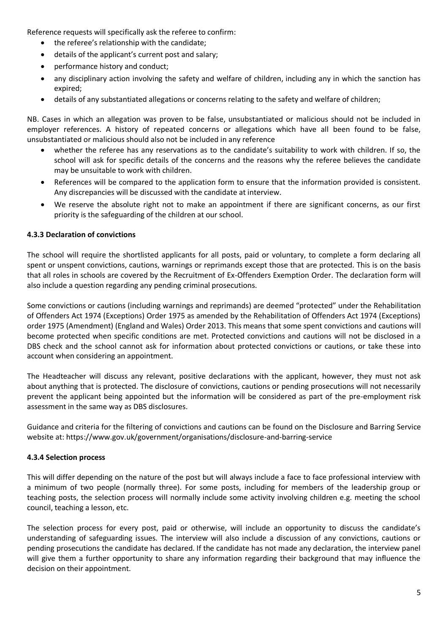Reference requests will specifically ask the referee to confirm:

- the referee's relationship with the candidate;
- details of the applicant's current post and salary;
- performance history and conduct;
- any disciplinary action involving the safety and welfare of children, including any in which the sanction has expired;
- details of any substantiated allegations or concerns relating to the safety and welfare of children;

NB. Cases in which an allegation was proven to be false, unsubstantiated or malicious should not be included in employer references. A history of repeated concerns or allegations which have all been found to be false, unsubstantiated or malicious should also not be included in any reference

- whether the referee has any reservations as to the candidate's suitability to work with children. If so, the school will ask for specific details of the concerns and the reasons why the referee believes the candidate may be unsuitable to work with children.
- References will be compared to the application form to ensure that the information provided is consistent. Any discrepancies will be discussed with the candidate at interview.
- We reserve the absolute right not to make an appointment if there are significant concerns, as our first priority is the safeguarding of the children at our school.

#### **4.3.3 Declaration of convictions**

The school will require the shortlisted applicants for all posts, paid or voluntary, to complete a form declaring all spent or unspent convictions, cautions, warnings or reprimands except those that are protected. This is on the basis that all roles in schools are covered by the Recruitment of Ex-Offenders Exemption Order. The declaration form will also include a question regarding any pending criminal prosecutions.

Some convictions or cautions (including warnings and reprimands) are deemed "protected" under the Rehabilitation of Offenders Act 1974 (Exceptions) Order 1975 as amended by the Rehabilitation of Offenders Act 1974 (Exceptions) order 1975 (Amendment) (England and Wales) Order 2013. This means that some spent convictions and cautions will become protected when specific conditions are met. Protected convictions and cautions will not be disclosed in a DBS check and the school cannot ask for information about protected convictions or cautions, or take these into account when considering an appointment.

The Headteacher will discuss any relevant, positive declarations with the applicant, however, they must not ask about anything that is protected. The disclosure of convictions, cautions or pending prosecutions will not necessarily prevent the applicant being appointed but the information will be considered as part of the pre-employment risk assessment in the same way as DBS disclosures.

Guidance and criteria for the filtering of convictions and cautions can be found on the Disclosure and Barring Service website at: https://www.gov.uk/government/organisations/disclosure-and-barring-service

#### **4.3.4 Selection process**

This will differ depending on the nature of the post but will always include a face to face professional interview with a minimum of two people (normally three). For some posts, including for members of the leadership group or teaching posts, the selection process will normally include some activity involving children e.g. meeting the school council, teaching a lesson, etc.

The selection process for every post, paid or otherwise, will include an opportunity to discuss the candidate's understanding of safeguarding issues. The interview will also include a discussion of any convictions, cautions or pending prosecutions the candidate has declared. If the candidate has not made any declaration, the interview panel will give them a further opportunity to share any information regarding their background that may influence the decision on their appointment.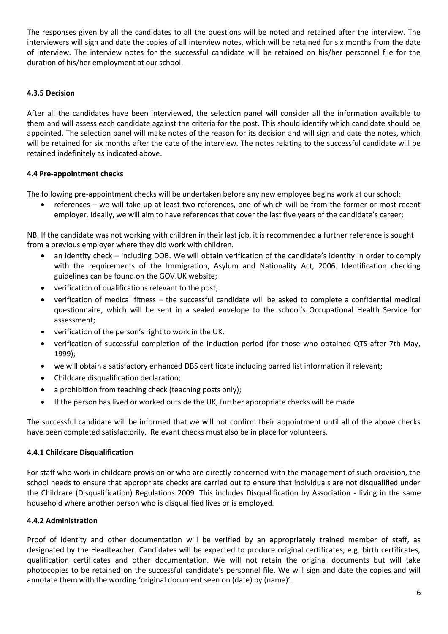The responses given by all the candidates to all the questions will be noted and retained after the interview. The interviewers will sign and date the copies of all interview notes, which will be retained for six months from the date of interview. The interview notes for the successful candidate will be retained on his/her personnel file for the duration of his/her employment at our school.

# **4.3.5 Decision**

After all the candidates have been interviewed, the selection panel will consider all the information available to them and will assess each candidate against the criteria for the post. This should identify which candidate should be appointed. The selection panel will make notes of the reason for its decision and will sign and date the notes, which will be retained for six months after the date of the interview. The notes relating to the successful candidate will be retained indefinitely as indicated above.

# **4.4 Pre-appointment checks**

The following pre-appointment checks will be undertaken before any new employee begins work at our school:

 references – we will take up at least two references, one of which will be from the former or most recent employer. Ideally, we will aim to have references that cover the last five years of the candidate's career;

NB. If the candidate was not working with children in their last job, it is recommended a further reference is sought from a previous employer where they did work with children.

- an identity check including DOB. We will obtain verification of the candidate's identity in order to comply with the requirements of the Immigration, Asylum and Nationality Act, 2006. Identification checking guidelines can be found on the GOV.UK website;
- verification of qualifications relevant to the post;
- verification of medical fitness the successful candidate will be asked to complete a confidential medical questionnaire, which will be sent in a sealed envelope to the school's Occupational Health Service for assessment;
- verification of the person's right to work in the UK.
- verification of successful completion of the induction period (for those who obtained QTS after 7th May, 1999);
- we will obtain a satisfactory enhanced DBS certificate including barred list information if relevant;
- Childcare disqualification declaration;
- a prohibition from teaching check (teaching posts only);
- If the person has lived or worked outside the UK, further appropriate checks will be made

The successful candidate will be informed that we will not confirm their appointment until all of the above checks have been completed satisfactorily. Relevant checks must also be in place for volunteers.

#### **4.4.1 Childcare Disqualification**

For staff who work in childcare provision or who are directly concerned with the management of such provision, the school needs to ensure that appropriate checks are carried out to ensure that individuals are not disqualified under the Childcare (Disqualification) Regulations 2009. This includes Disqualification by Association - living in the same household where another person who is disqualified lives or is employed.

# **4.4.2 Administration**

Proof of identity and other documentation will be verified by an appropriately trained member of staff, as designated by the Headteacher. Candidates will be expected to produce original certificates, e.g. birth certificates, qualification certificates and other documentation. We will not retain the original documents but will take photocopies to be retained on the successful candidate's personnel file. We will sign and date the copies and will annotate them with the wording 'original document seen on (date) by (name)'.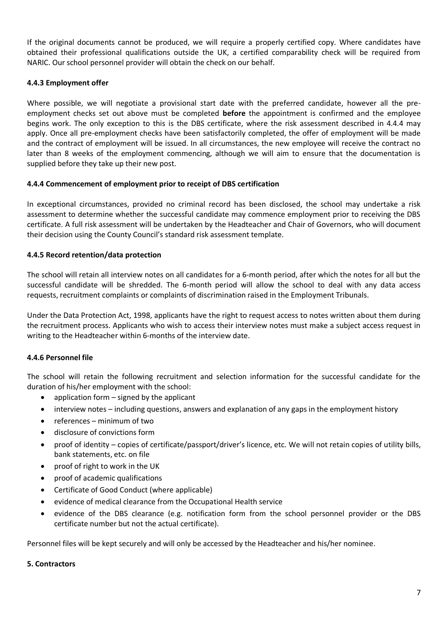If the original documents cannot be produced, we will require a properly certified copy. Where candidates have obtained their professional qualifications outside the UK, a certified comparability check will be required from NARIC. Our school personnel provider will obtain the check on our behalf.

# **4.4.3 Employment offer**

Where possible, we will negotiate a provisional start date with the preferred candidate, however all the preemployment checks set out above must be completed **before** the appointment is confirmed and the employee begins work. The only exception to this is the DBS certificate, where the risk assessment described in 4.4.4 may apply. Once all pre-employment checks have been satisfactorily completed, the offer of employment will be made and the contract of employment will be issued. In all circumstances, the new employee will receive the contract no later than 8 weeks of the employment commencing, although we will aim to ensure that the documentation is supplied before they take up their new post.

#### **4.4.4 Commencement of employment prior to receipt of DBS certification**

In exceptional circumstances, provided no criminal record has been disclosed, the school may undertake a risk assessment to determine whether the successful candidate may commence employment prior to receiving the DBS certificate. A full risk assessment will be undertaken by the Headteacher and Chair of Governors, who will document their decision using the County Council's standard risk assessment template.

#### **4.4.5 Record retention/data protection**

The school will retain all interview notes on all candidates for a 6-month period, after which the notes for all but the successful candidate will be shredded. The 6-month period will allow the school to deal with any data access requests, recruitment complaints or complaints of discrimination raised in the Employment Tribunals.

Under the Data Protection Act, 1998, applicants have the right to request access to notes written about them during the recruitment process. Applicants who wish to access their interview notes must make a subject access request in writing to the Headteacher within 6-months of the interview date.

#### **4.4.6 Personnel file**

The school will retain the following recruitment and selection information for the successful candidate for the duration of his/her employment with the school:

- application form  $-$  signed by the applicant
- interview notes including questions, answers and explanation of any gaps in the employment history
- references minimum of two
- disclosure of convictions form
- proof of identity copies of certificate/passport/driver's licence, etc. We will not retain copies of utility bills, bank statements, etc. on file
- proof of right to work in the UK
- proof of academic qualifications
- Certificate of Good Conduct (where applicable)
- evidence of medical clearance from the Occupational Health service
- evidence of the DBS clearance (e.g. notification form from the school personnel provider or the DBS certificate number but not the actual certificate).

Personnel files will be kept securely and will only be accessed by the Headteacher and his/her nominee.

#### **5. Contractors**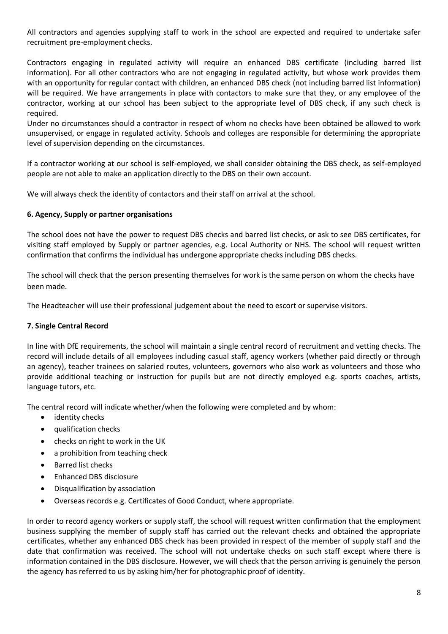All contractors and agencies supplying staff to work in the school are expected and required to undertake safer recruitment pre-employment checks.

Contractors engaging in regulated activity will require an enhanced DBS certificate (including barred list information). For all other contractors who are not engaging in regulated activity, but whose work provides them with an opportunity for regular contact with children, an enhanced DBS check (not including barred list information) will be required. We have arrangements in place with contactors to make sure that they, or any employee of the contractor, working at our school has been subject to the appropriate level of DBS check, if any such check is required.

Under no circumstances should a contractor in respect of whom no checks have been obtained be allowed to work unsupervised, or engage in regulated activity. Schools and colleges are responsible for determining the appropriate level of supervision depending on the circumstances.

If a contractor working at our school is self-employed, we shall consider obtaining the DBS check, as self-employed people are not able to make an application directly to the DBS on their own account.

We will always check the identity of contactors and their staff on arrival at the school.

#### **6. Agency, Supply or partner organisations**

The school does not have the power to request DBS checks and barred list checks, or ask to see DBS certificates, for visiting staff employed by Supply or partner agencies, e.g. Local Authority or NHS. The school will request written confirmation that confirms the individual has undergone appropriate checks including DBS checks.

The school will check that the person presenting themselves for work is the same person on whom the checks have been made.

The Headteacher will use their professional judgement about the need to escort or supervise visitors.

# **7. Single Central Record**

In line with DfE requirements, the school will maintain a single central record of recruitment and vetting checks. The record will include details of all employees including casual staff, agency workers (whether paid directly or through an agency), teacher trainees on salaried routes, volunteers, governors who also work as volunteers and those who provide additional teaching or instruction for pupils but are not directly employed e.g. sports coaches, artists, language tutors, etc.

The central record will indicate whether/when the following were completed and by whom:

- identity checks
- qualification checks
- checks on right to work in the UK
- a prohibition from teaching check
- Barred list checks
- Enhanced DBS disclosure
- Disqualification by association
- Overseas records e.g. Certificates of Good Conduct, where appropriate.

In order to record agency workers or supply staff, the school will request written confirmation that the employment business supplying the member of supply staff has carried out the relevant checks and obtained the appropriate certificates, whether any enhanced DBS check has been provided in respect of the member of supply staff and the date that confirmation was received. The school will not undertake checks on such staff except where there is information contained in the DBS disclosure. However, we will check that the person arriving is genuinely the person the agency has referred to us by asking him/her for photographic proof of identity.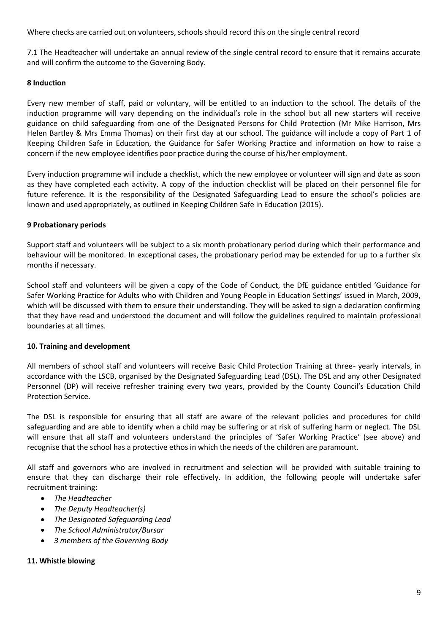Where checks are carried out on volunteers, schools should record this on the single central record

7.1 The Headteacher will undertake an annual review of the single central record to ensure that it remains accurate and will confirm the outcome to the Governing Body.

# **8 Induction**

Every new member of staff, paid or voluntary, will be entitled to an induction to the school. The details of the induction programme will vary depending on the individual's role in the school but all new starters will receive guidance on child safeguarding from one of the Designated Persons for Child Protection (Mr Mike Harrison, Mrs Helen Bartley & Mrs Emma Thomas) on their first day at our school. The guidance will include a copy of Part 1 of Keeping Children Safe in Education, the Guidance for Safer Working Practice and information on how to raise a concern if the new employee identifies poor practice during the course of his/her employment.

Every induction programme will include a checklist, which the new employee or volunteer will sign and date as soon as they have completed each activity. A copy of the induction checklist will be placed on their personnel file for future reference. It is the responsibility of the Designated Safeguarding Lead to ensure the school's policies are known and used appropriately, as outlined in Keeping Children Safe in Education (2015).

#### **9 Probationary periods**

Support staff and volunteers will be subject to a six month probationary period during which their performance and behaviour will be monitored. In exceptional cases, the probationary period may be extended for up to a further six months if necessary.

School staff and volunteers will be given a copy of the Code of Conduct, the DfE guidance entitled 'Guidance for Safer Working Practice for Adults who with Children and Young People in Education Settings' issued in March, 2009, which will be discussed with them to ensure their understanding. They will be asked to sign a declaration confirming that they have read and understood the document and will follow the guidelines required to maintain professional boundaries at all times.

#### **10. Training and development**

All members of school staff and volunteers will receive Basic Child Protection Training at three- yearly intervals, in accordance with the LSCB, organised by the Designated Safeguarding Lead (DSL). The DSL and any other Designated Personnel (DP) will receive refresher training every two years, provided by the County Council's Education Child Protection Service.

The DSL is responsible for ensuring that all staff are aware of the relevant policies and procedures for child safeguarding and are able to identify when a child may be suffering or at risk of suffering harm or neglect. The DSL will ensure that all staff and volunteers understand the principles of 'Safer Working Practice' (see above) and recognise that the school has a protective ethos in which the needs of the children are paramount.

All staff and governors who are involved in recruitment and selection will be provided with suitable training to ensure that they can discharge their role effectively. In addition, the following people will undertake safer recruitment training:

- *The Headteacher*
- *The Deputy Headteacher(s)*
- *The Designated Safeguarding Lead*
- *The School Administrator/Bursar*
- *3 members of the Governing Body*

# **11. Whistle blowing**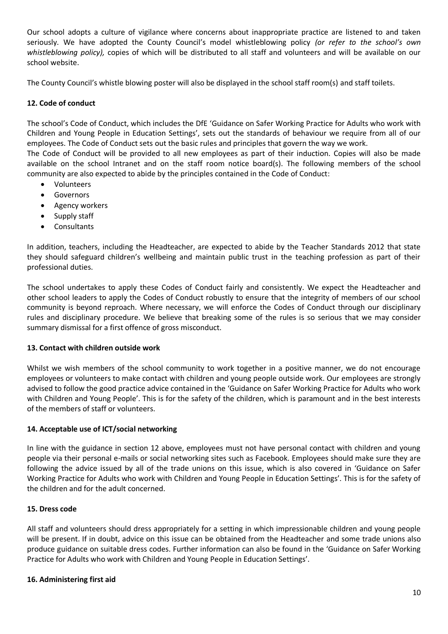Our school adopts a culture of vigilance where concerns about inappropriate practice are listened to and taken seriously. We have adopted the County Council's model whistleblowing policy *(or refer to the school's own whistleblowing policy),* copies of which will be distributed to all staff and volunteers and will be available on our school website.

The County Council's whistle blowing poster will also be displayed in the school staff room(s) and staff toilets.

# **12. Code of conduct**

The school's Code of Conduct, which includes the DfE 'Guidance on Safer Working Practice for Adults who work with Children and Young People in Education Settings', sets out the standards of behaviour we require from all of our employees. The Code of Conduct sets out the basic rules and principles that govern the way we work.

The Code of Conduct will be provided to all new employees as part of their induction. Copies will also be made available on the school Intranet and on the staff room notice board(s). The following members of the school community are also expected to abide by the principles contained in the Code of Conduct:

- Volunteers
- **•** Governors
- Agency workers
- Supply staff
- Consultants

In addition, teachers, including the Headteacher, are expected to abide by the Teacher Standards 2012 that state they should safeguard children's wellbeing and maintain public trust in the teaching profession as part of their professional duties.

The school undertakes to apply these Codes of Conduct fairly and consistently. We expect the Headteacher and other school leaders to apply the Codes of Conduct robustly to ensure that the integrity of members of our school community is beyond reproach. Where necessary, we will enforce the Codes of Conduct through our disciplinary rules and disciplinary procedure. We believe that breaking some of the rules is so serious that we may consider summary dismissal for a first offence of gross misconduct.

#### **13. Contact with children outside work**

Whilst we wish members of the school community to work together in a positive manner, we do not encourage employees or volunteers to make contact with children and young people outside work. Our employees are strongly advised to follow the good practice advice contained in the 'Guidance on Safer Working Practice for Adults who work with Children and Young People'. This is for the safety of the children, which is paramount and in the best interests of the members of staff or volunteers.

#### **14. Acceptable use of ICT/social networking**

In line with the guidance in section 12 above, employees must not have personal contact with children and young people via their personal e-mails or social networking sites such as Facebook. Employees should make sure they are following the advice issued by all of the trade unions on this issue, which is also covered in 'Guidance on Safer Working Practice for Adults who work with Children and Young People in Education Settings'. This is for the safety of the children and for the adult concerned.

#### **15. Dress code**

All staff and volunteers should dress appropriately for a setting in which impressionable children and young people will be present. If in doubt, advice on this issue can be obtained from the Headteacher and some trade unions also produce guidance on suitable dress codes. Further information can also be found in the 'Guidance on Safer Working Practice for Adults who work with Children and Young People in Education Settings'.

#### **16. Administering first aid**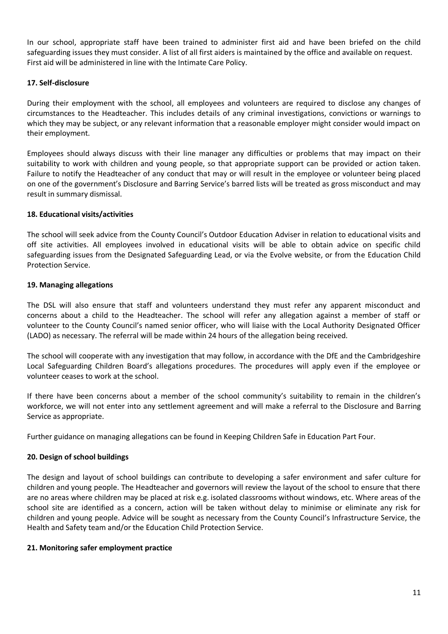In our school, appropriate staff have been trained to administer first aid and have been briefed on the child safeguarding issues they must consider. A list of all first aiders is maintained by the office and available on request. First aid will be administered in line with the Intimate Care Policy.

#### **17. Self-disclosure**

During their employment with the school, all employees and volunteers are required to disclose any changes of circumstances to the Headteacher. This includes details of any criminal investigations, convictions or warnings to which they may be subject, or any relevant information that a reasonable employer might consider would impact on their employment.

Employees should always discuss with their line manager any difficulties or problems that may impact on their suitability to work with children and young people, so that appropriate support can be provided or action taken. Failure to notify the Headteacher of any conduct that may or will result in the employee or volunteer being placed on one of the government's Disclosure and Barring Service's barred lists will be treated as gross misconduct and may result in summary dismissal.

#### **18. Educational visits/activities**

The school will seek advice from the County Council's Outdoor Education Adviser in relation to educational visits and off site activities. All employees involved in educational visits will be able to obtain advice on specific child safeguarding issues from the Designated Safeguarding Lead, or via the Evolve website, or from the Education Child Protection Service.

#### **19. Managing allegations**

The DSL will also ensure that staff and volunteers understand they must refer any apparent misconduct and concerns about a child to the Headteacher. The school will refer any allegation against a member of staff or volunteer to the County Council's named senior officer, who will liaise with the Local Authority Designated Officer (LADO) as necessary. The referral will be made within 24 hours of the allegation being received.

The school will cooperate with any investigation that may follow, in accordance with the DfE and the Cambridgeshire Local Safeguarding Children Board's allegations procedures. The procedures will apply even if the employee or volunteer ceases to work at the school.

If there have been concerns about a member of the school community's suitability to remain in the children's workforce, we will not enter into any settlement agreement and will make a referral to the Disclosure and Barring Service as appropriate.

Further guidance on managing allegations can be found in Keeping Children Safe in Education Part Four.

#### **20. Design of school buildings**

The design and layout of school buildings can contribute to developing a safer environment and safer culture for children and young people. The Headteacher and governors will review the layout of the school to ensure that there are no areas where children may be placed at risk e.g. isolated classrooms without windows, etc. Where areas of the school site are identified as a concern, action will be taken without delay to minimise or eliminate any risk for children and young people. Advice will be sought as necessary from the County Council's Infrastructure Service, the Health and Safety team and/or the Education Child Protection Service.

#### **21. Monitoring safer employment practice**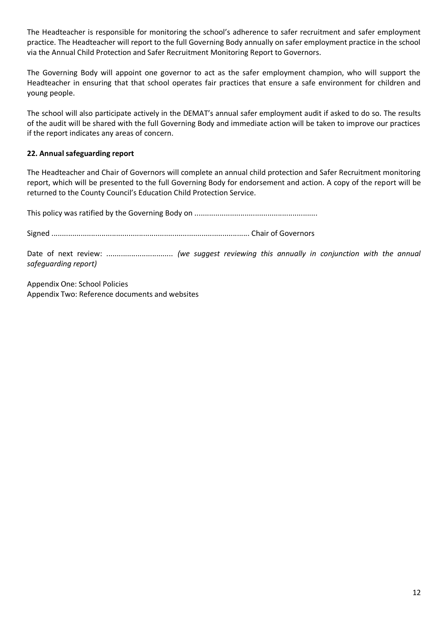The Headteacher is responsible for monitoring the school's adherence to safer recruitment and safer employment practice. The Headteacher will report to the full Governing Body annually on safer employment practice in the school via the Annual Child Protection and Safer Recruitment Monitoring Report to Governors.

The Governing Body will appoint one governor to act as the safer employment champion, who will support the Headteacher in ensuring that that school operates fair practices that ensure a safe environment for children and young people.

The school will also participate actively in the DEMAT's annual safer employment audit if asked to do so. The results of the audit will be shared with the full Governing Body and immediate action will be taken to improve our practices if the report indicates any areas of concern.

# **22. Annual safeguarding report**

The Headteacher and Chair of Governors will complete an annual child protection and Safer Recruitment monitoring report, which will be presented to the full Governing Body for endorsement and action. A copy of the report will be returned to the County Council's Education Child Protection Service.

This policy was ratified by the Governing Body on ...........................................................

Signed ............................................................................................... Chair of Governors

Date of next review: ................................ *(we suggest reviewing this annually in conjunction with the annual safeguarding report)* 

Appendix One: School Policies Appendix Two: Reference documents and websites